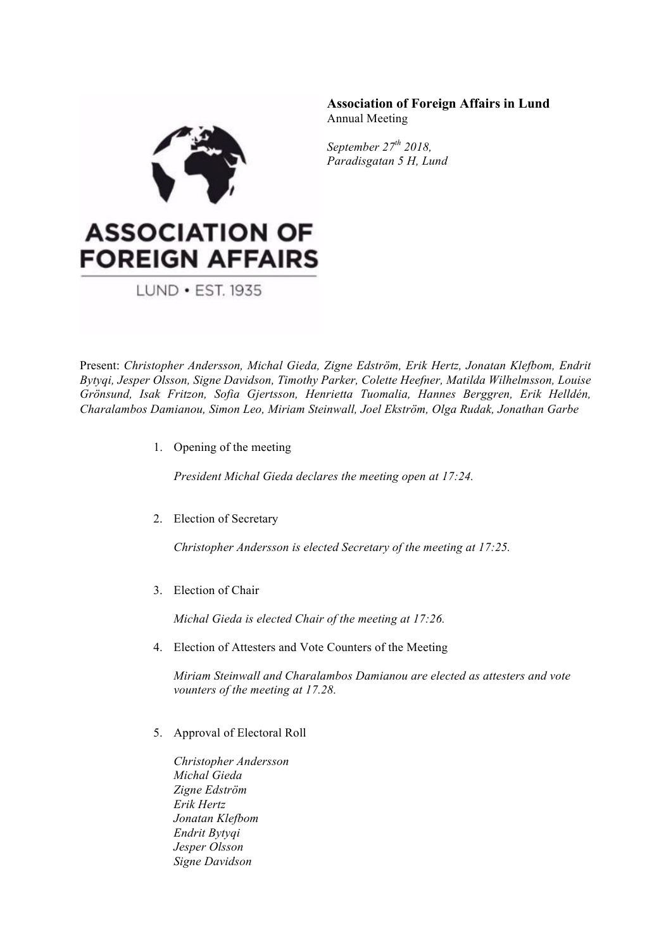

**Association of Foreign Affairs in Lund** Annual Meeting

*September 27th 2018, Paradisgatan 5 H, Lund*

## **ASSOCIATION OF FOREIGN AFFAIRS**

LUND • EST. 1935

Present: *Christopher Andersson, Michal Gieda, Zigne Edström, Erik Hertz, Jonatan Klefbom, Endrit Bytyqi, Jesper Olsson, Signe Davidson, Timothy Parker, Colette Heefner, Matilda Wilhelmsson, Louise Grönsund, Isak Fritzon, Sofia Gjertsson, Henrietta Tuomalia, Hannes Berggren, Erik Helldén, Charalambos Damianou, Simon Leo, Miriam Steinwall, Joel Ekström, Olga Rudak, Jonathan Garbe*

1. Opening of the meeting

*President Michal Gieda declares the meeting open at 17:24.*

2. Election of Secretary

*Christopher Andersson is elected Secretary of the meeting at 17:25.*

3. Election of Chair

*Michal Gieda is elected Chair of the meeting at 17:26.*

4. Election of Attesters and Vote Counters of the Meeting

*Miriam Steinwall and Charalambos Damianou are elected as attesters and vote vounters of the meeting at 17.28.*

5. Approval of Electoral Roll

*Christopher Andersson Michal Gieda Zigne Edström Erik Hertz Jonatan Klefbom Endrit Bytyqi Jesper Olsson Signe Davidson*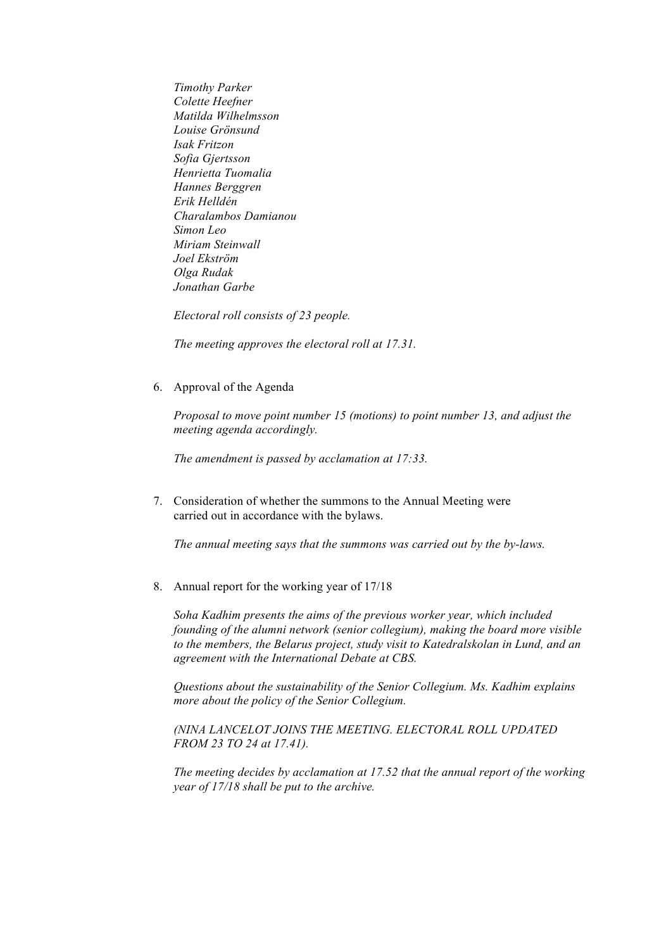*Timothy Parker Colette Heefner Matilda Wilhelmsson Louise Grönsund Isak Fritzon Sofia Gjertsson Henrietta Tuomalia Hannes Berggren Erik Helldén Charalambos Damianou Simon Leo Miriam Steinwall Joel Ekström Olga Rudak Jonathan Garbe*

*Electoral roll consists of 23 people.*

*The meeting approves the electoral roll at 17.31.*

6. Approval of the Agenda

*Proposal to move point number 15 (motions) to point number 13, and adjust the meeting agenda accordingly.*

*The amendment is passed by acclamation at 17:33.*

7. Consideration of whether the summons to the Annual Meeting were carried out in accordance with the bylaws.

*The annual meeting says that the summons was carried out by the by-laws.*

8. Annual report for the working year of 17/18

*Soha Kadhim presents the aims of the previous worker year, which included founding of the alumni network (senior collegium), making the board more visible to the members, the Belarus project, study visit to Katedralskolan in Lund, and an agreement with the International Debate at CBS.*

*Questions about the sustainability of the Senior Collegium. Ms. Kadhim explains more about the policy of the Senior Collegium.* 

*(NINA LANCELOT JOINS THE MEETING. ELECTORAL ROLL UPDATED FROM 23 TO 24 at 17.41).*

*The meeting decides by acclamation at 17.52 that the annual report of the working year of 17/18 shall be put to the archive.*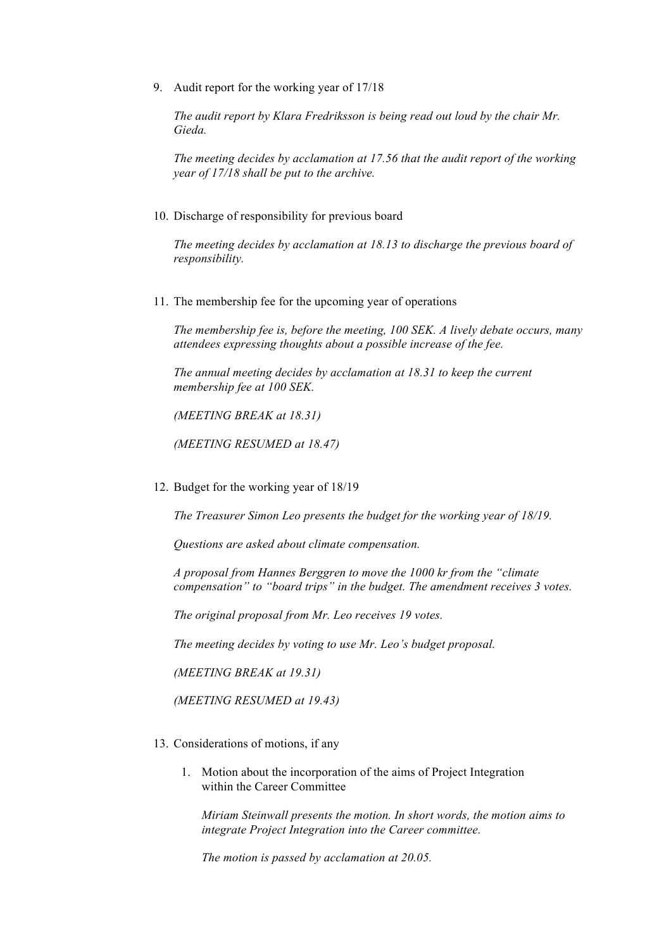9. Audit report for the working year of 17/18

*The audit report by Klara Fredriksson is being read out loud by the chair Mr. Gieda.* 

*The meeting decides by acclamation at 17.56 that the audit report of the working year of 17/18 shall be put to the archive.*

10. Discharge of responsibility for previous board

*The meeting decides by acclamation at 18.13 to discharge the previous board of responsibility.* 

11. The membership fee for the upcoming year of operations

*The membership fee is, before the meeting, 100 SEK. A lively debate occurs, many attendees expressing thoughts about a possible increase of the fee.* 

*The annual meeting decides by acclamation at 18.31 to keep the current membership fee at 100 SEK.* 

*(MEETING BREAK at 18.31)*

*(MEETING RESUMED at 18.47)*

12. Budget for the working year of 18/19

*The Treasurer Simon Leo presents the budget for the working year of 18/19.* 

*Questions are asked about climate compensation.* 

*A proposal from Hannes Berggren to move the 1000 kr from the "climate compensation" to "board trips" in the budget. The amendment receives 3 votes.*

*The original proposal from Mr. Leo receives 19 votes.*

*The meeting decides by voting to use Mr. Leo's budget proposal.*

*(MEETING BREAK at 19.31)*

*(MEETING RESUMED at 19.43)*

- 13. Considerations of motions, if any
	- 1. Motion about the incorporation of the aims of Project Integration within the Career Committee

*Miriam Steinwall presents the motion. In short words, the motion aims to integrate Project Integration into the Career committee.* 

*The motion is passed by acclamation at 20.05.*